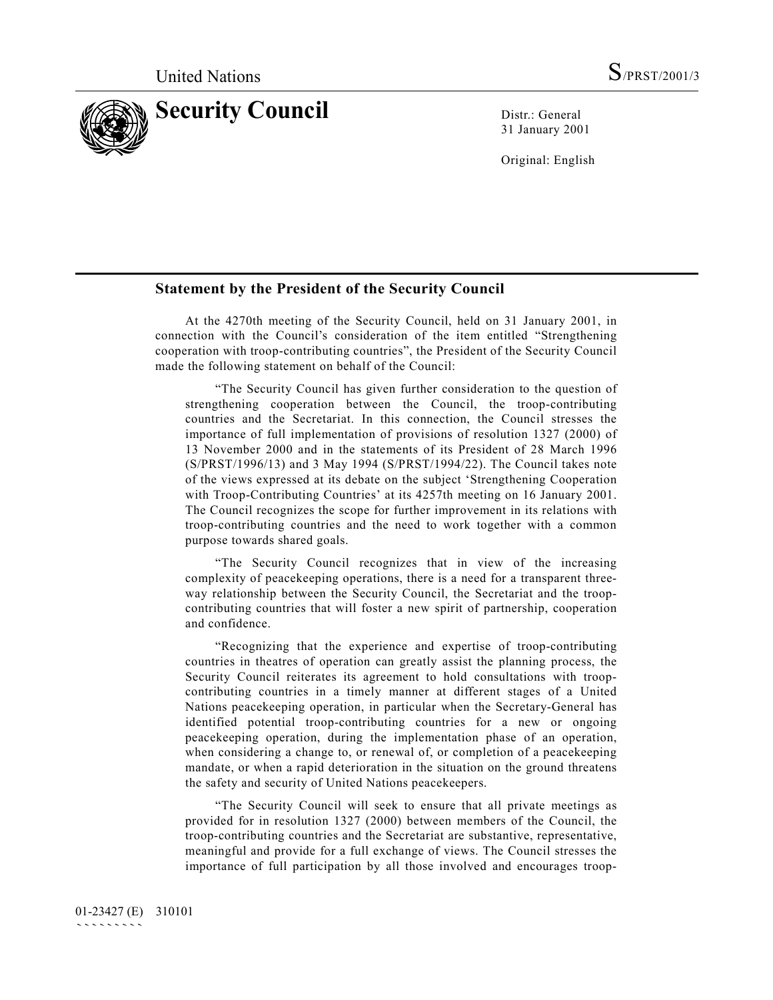

31 January 2001

Original: English

## **Statement by the President of the Security Council**

At the 4270th meeting of the Security Council, held on 31 January 2001, in connection with the Council's consideration of the item entitled "Strengthening cooperation with troop-contributing countries", the President of the Security Council made the following statement on behalf of the Council:

"The Security Council has given further consideration to the question of strengthening cooperation between the Council, the troop-contributing countries and the Secretariat. In this connection, the Council stresses the importance of full implementation of provisions of resolution 1327 (2000) of 13 November 2000 and in the statements of its President of 28 March 1996 (S/PRST/1996/13) and 3 May 1994 (S/PRST/1994/22). The Council takes note of the views expressed at its debate on the subject 'Strengthening Cooperation with Troop-Contributing Countries' at its 4257th meeting on 16 January 2001. The Council recognizes the scope for further improvement in its relations with troop-contributing countries and the need to work together with a common purpose towards shared goals.

"The Security Council recognizes that in view of the increasing complexity of peacekeeping operations, there is a need for a transparent threeway relationship between the Security Council, the Secretariat and the troopcontributing countries that will foster a new spirit of partnership, cooperation and confidence.

"Recognizing that the experience and expertise of troop-contributing countries in theatres of operation can greatly assist the planning process, the Security Council reiterates its agreement to hold consultations with troopcontributing countries in a timely manner at different stages of a United Nations peacekeeping operation, in particular when the Secretary-General has identified potential troop-contributing countries for a new or ongoing peacekeeping operation, during the implementation phase of an operation, when considering a change to, or renewal of, or completion of a peacekeeping mandate, or when a rapid deterioration in the situation on the ground threatens the safety and security of United Nations peacekeepers.

"The Security Council will seek to ensure that all private meetings as provided for in resolution 1327 (2000) between members of the Council, the troop-contributing countries and the Secretariat are substantive, representative, meaningful and provide for a full exchange of views. The Council stresses the importance of full participation by all those involved and encourages troop